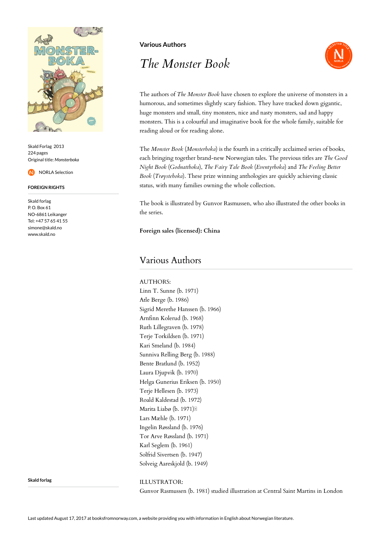

Skald Forlag 2013 224 pages Original title: *Monsterboka*

NORLA Selection

**FOREIGN RIGHTS**

Skald forlag P. O. Box 61 NO-6861 Leikanger Tel: +47 57 65 41 55 simone@skald.no www.skald.no

**Various Authors**

## *The Monster Book*



The authors of *The Monster Book* have chosen to explore the universe of monsters in a humorous, and sometimes slightly scary fashion. They have tracked down gigantic, huge monsters and small, tiny monsters, nice and nasty monsters, sad and happy monsters. This is a colourful and imaginative book for the whole family, suitable for reading aloud or for reading alone.

The *Monster Book* (*Monsterboka*) is the fourth in a critically acclaimed series of books, each bringing together brand-new Norwegian tales. The previous titles are *The Good Night Book* (*Godnattboka*), *The Fairy Tale Book* (*Eventyrboka*) and *The Feeling Better Book* (*Trøysteboka*). These prize winning anthologies are quickly achieving classic status, with many families owning the whole collection.

The book is illustrated by Gunvor Rasmussen, who also illustrated the other books in the series.

**Foreign sales (licensed): China**

## Various Authors

AUTHORS: Linn T. Sunne (b. 1971) Atle Berge (b. 1986) Sigrid Merethe Hanssen (b. 1966) Arnfinn Kolerud (b. 1968) Ruth Lillegraven (b. 1978) Terje Torkildsen (b. 1971) Kari Smeland (b. 1984) Sunniva Relling Berg (b. 1988) Bente Bratlund (b. 1952) Laura Djupvik (b. 1970) Helga Gunerius Eriksen (b. 1950) Terje Hellesen (b. 1973) Roald Kaldestad (b. 1972) Marita Liabø (b. 1971) Lars Mæhle (b. 1971) Ingelin Røssland (b. 1976) Tor Arve Røssland (b. 1971) Karl Seglem (b. 1961) Solfrid Sivertsen (b. 1947) Solveig Aareskjold (b. 1949)

## **Skald forlag**

ILLUSTRATOR:

Gunvor Rasmussen (b. 1981) studied illustration at Central Saint Martins in London